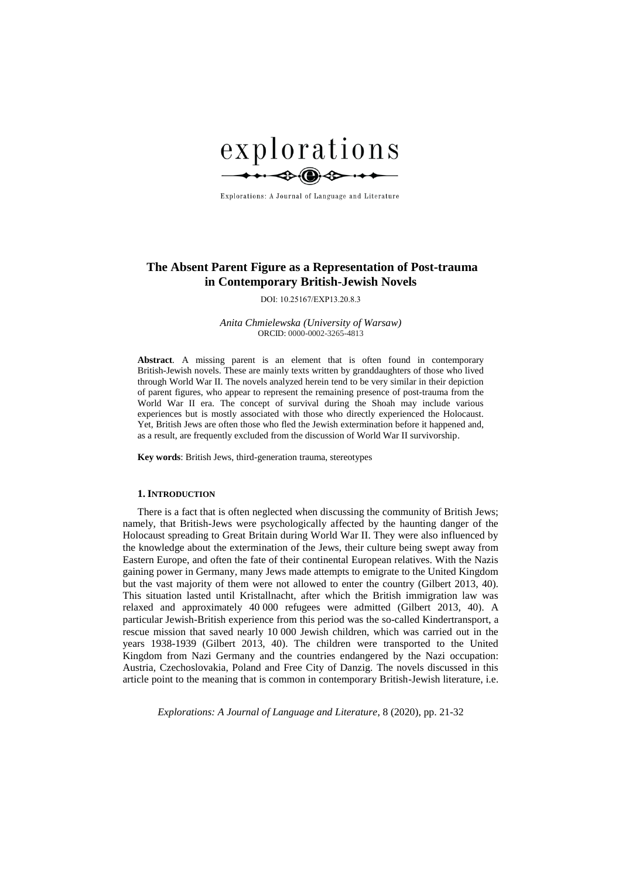

Explorations: A Journal of Language and Literature

# **The Absent Parent Figure as a Representation of Post-trauma in Contemporary British-Jewish Novels**

DOI: 10.25167/EXP13.20.8.3

*Anita Chmielewska (University of Warsaw)* ORCID: 0000-0002-3265-4813

**Abstract***.* A missing parent is an element that is often found in contemporary British-Jewish novels. These are mainly texts written by granddaughters of those who lived through World War II. The novels analyzed herein tend to be very similar in their depiction of parent figures, who appear to represent the remaining presence of post-trauma from the World War II era. The concept of survival during the Shoah may include various experiences but is mostly associated with those who directly experienced the Holocaust. Yet, British Jews are often those who fled the Jewish extermination before it happened and, as a result, are frequently excluded from the discussion of World War II survivorship.

**Key words**: British Jews, third-generation trauma, stereotypes

#### **1. INTRODUCTION**

There is a fact that is often neglected when discussing the community of British Jews; namely, that British-Jews were psychologically affected by the haunting danger of the Holocaust spreading to Great Britain during World War II. They were also influenced by the knowledge about the extermination of the Jews, their culture being swept away from Eastern Europe, and often the fate of their continental European relatives. With the Nazis gaining power in Germany, many Jews made attempts to emigrate to the United Kingdom but the vast majority of them were not allowed to enter the country (Gilbert 2013, 40). This situation lasted until Kristallnacht, after which the British immigration law was relaxed and approximately 40 000 refugees were admitted (Gilbert 2013, 40). A particular Jewish-British experience from this period was the so-called Kindertransport, a rescue mission that saved nearly 10 000 Jewish children, which was carried out in the years 1938-1939 (Gilbert 2013, 40). The children were transported to the United Kingdom from Nazi Germany and the countries endangered by the Nazi occupation: Austria, Czechoslovakia, Poland and Free City of Danzig. The novels discussed in this article point to the meaning that is common in contemporary British-Jewish literature, i.e.

*Explorations: A Journal of Language and Literature*, 8 (2020), pp. 21-32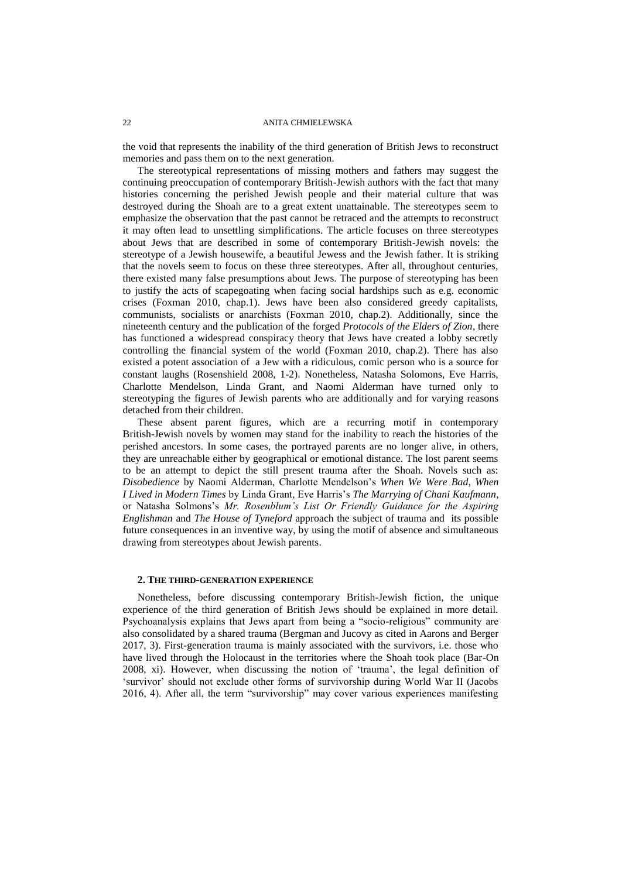the void that represents the inability of the third generation of British Jews to reconstruct memories and pass them on to the next generation.

The stereotypical representations of missing mothers and fathers may suggest the continuing preoccupation of contemporary British-Jewish authors with the fact that many histories concerning the perished Jewish people and their material culture that was destroyed during the Shoah are to a great extent unattainable. The stereotypes seem to emphasize the observation that the past cannot be retraced and the attempts to reconstruct it may often lead to unsettling simplifications. The article focuses on three stereotypes about Jews that are described in some of contemporary British-Jewish novels: the stereotype of a Jewish housewife, a beautiful Jewess and the Jewish father. It is striking that the novels seem to focus on these three stereotypes. After all, throughout centuries, there existed many false presumptions about Jews. The purpose of stereotyping has been to justify the acts of scapegoating when facing social hardships such as e.g. economic crises (Foxman 2010, chap.1). Jews have been also considered greedy capitalists, communists, socialists or anarchists (Foxman 2010, chap.2). Additionally, since the nineteenth century and the publication of the forged *Protocols of the Elders of Zion*, there has functioned a widespread conspiracy theory that Jews have created a lobby secretly controlling the financial system of the world (Foxman 2010, chap.2). There has also existed a potent association of a Jew with a ridiculous, comic person who is a source for constant laughs (Rosenshield 2008, 1-2). Nonetheless, Natasha Solomons, Eve Harris, Charlotte Mendelson, Linda Grant, and Naomi Alderman have turned only to stereotyping the figures of Jewish parents who are additionally and for varying reasons detached from their children.

These absent parent figures, which are a recurring motif in contemporary British-Jewish novels by women may stand for the inability to reach the histories of the perished ancestors. In some cases, the portrayed parents are no longer alive, in others, they are unreachable either by geographical or emotional distance. The lost parent seems to be an attempt to depict the still present trauma after the Shoah. Novels such as: *Disobedience* by Naomi Alderman, Charlotte Mendelson's *When We Were Bad*, *When I Lived in Modern Times* by Linda Grant, Eve Harris's *The Marrying of Chani Kaufmann*, or Natasha Solmons's *Mr. Rosenblum's List Or Friendly Guidance for the Aspiring Englishman* and *The House of Tyneford* approach the subject of trauma and its possible future consequences in an inventive way, by using the motif of absence and simultaneous drawing from stereotypes about Jewish parents.

## **2. THE THIRD-GENERATION EXPERIENCE**

Nonetheless, before discussing contemporary British-Jewish fiction, the unique experience of the third generation of British Jews should be explained in more detail. Psychoanalysis explains that Jews apart from being a "socio-religious" community are also consolidated by a shared trauma (Bergman and Jucovy as cited in Aarons and Berger 2017, 3). First-generation trauma is mainly associated with the survivors, i.e. those who have lived through the Holocaust in the territories where the Shoah took place (Bar-On 2008, xi). However, when discussing the notion of 'trauma', the legal definition of 'survivor' should not exclude other forms of survivorship during World War II (Jacobs 2016, 4). After all, the term "survivorship" may cover various experiences manifesting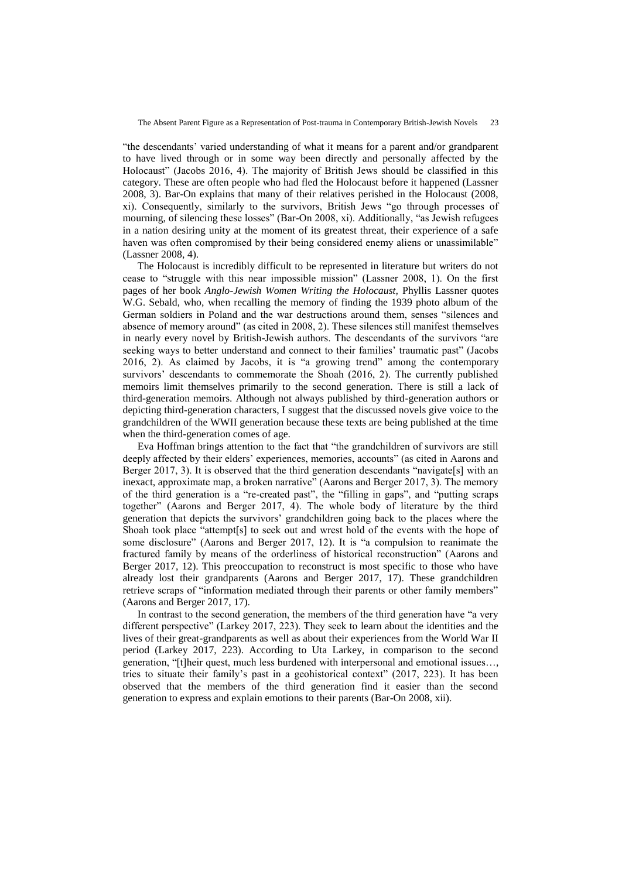"the descendants' varied understanding of what it means for a parent and/or grandparent to have lived through or in some way been directly and personally affected by the Holocaust" (Jacobs 2016, 4). The majority of British Jews should be classified in this category. These are often people who had fled the Holocaust before it happened (Lassner 2008, 3). Bar-On explains that many of their relatives perished in the Holocaust (2008, xi). Consequently, similarly to the survivors, British Jews "go through processes of mourning, of silencing these losses" (Bar-On 2008, xi). Additionally, "as Jewish refugees in a nation desiring unity at the moment of its greatest threat, their experience of a safe haven was often compromised by their being considered enemy aliens or unassimilable" (Lassner 2008, 4).

The Holocaust is incredibly difficult to be represented in literature but writers do not cease to "struggle with this near impossible mission" (Lassner 2008, 1). On the first pages of her book *Anglo-Jewish Women Writing the Holocaust,* Phyllis Lassner quotes W.G. Sebald, who, when recalling the memory of finding the 1939 photo album of the German soldiers in Poland and the war destructions around them, senses "silences and absence of memory around" (as cited in 2008, 2). These silences still manifest themselves in nearly every novel by British-Jewish authors. The descendants of the survivors "are seeking ways to better understand and connect to their families' traumatic past" (Jacobs 2016, 2). As claimed by Jacobs, it is "a growing trend" among the contemporary survivors' descendants to commemorate the Shoah (2016, 2). The currently published memoirs limit themselves primarily to the second generation. There is still a lack of third-generation memoirs. Although not always published by third-generation authors or depicting third-generation characters, I suggest that the discussed novels give voice to the grandchildren of the WWII generation because these texts are being published at the time when the third-generation comes of age.

Eva Hoffman brings attention to the fact that "the grandchildren of survivors are still deeply affected by their elders' experiences, memories, accounts" (as cited in Aarons and Berger 2017, 3). It is observed that the third generation descendants "navigate[s] with an inexact, approximate map, a broken narrative" (Aarons and Berger 2017, 3). The memory of the third generation is a "re-created past", the "filling in gaps", and "putting scraps together" (Aarons and Berger 2017, 4). The whole body of literature by the third generation that depicts the survivors' grandchildren going back to the places where the Shoah took place "attempt[s] to seek out and wrest hold of the events with the hope of some disclosure" (Aarons and Berger 2017, 12). It is "a compulsion to reanimate the fractured family by means of the orderliness of historical reconstruction" (Aarons and Berger 2017, 12). This preoccupation to reconstruct is most specific to those who have already lost their grandparents (Aarons and Berger 2017, 17). These grandchildren retrieve scraps of "information mediated through their parents or other family members" (Aarons and Berger 2017, 17).

In contrast to the second generation, the members of the third generation have "a very different perspective" (Larkey 2017, 223). They seek to learn about the identities and the lives of their great-grandparents as well as about their experiences from the World War II period (Larkey 2017, 223). According to Uta Larkey, in comparison to the second generation, "[t]heir quest, much less burdened with interpersonal and emotional issues…, tries to situate their family's past in a geohistorical context" (2017, 223). It has been observed that the members of the third generation find it easier than the second generation to express and explain emotions to their parents (Bar-On 2008, xii).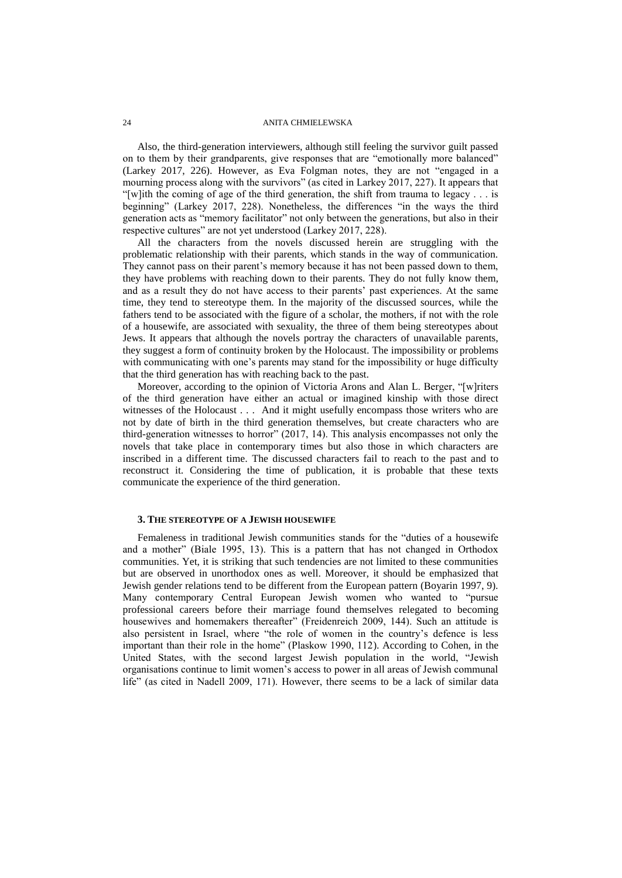Also, the third-generation interviewers, although still feeling the survivor guilt passed on to them by their grandparents, give responses that are "emotionally more balanced" (Larkey 2017, 226). However, as Eva Folgman notes, they are not "engaged in a mourning process along with the survivors" (as cited in Larkey 2017, 227). It appears that "[w]ith the coming of age of the third generation, the shift from trauma to legacy . . . is beginning" (Larkey 2017, 228). Nonetheless, the differences "in the ways the third generation acts as "memory facilitator" not only between the generations, but also in their respective cultures" are not yet understood (Larkey 2017, 228).

All the characters from the novels discussed herein are struggling with the problematic relationship with their parents, which stands in the way of communication. They cannot pass on their parent's memory because it has not been passed down to them, they have problems with reaching down to their parents. They do not fully know them, and as a result they do not have access to their parents' past experiences. At the same time, they tend to stereotype them. In the majority of the discussed sources, while the fathers tend to be associated with the figure of a scholar, the mothers, if not with the role of a housewife, are associated with sexuality, the three of them being stereotypes about Jews. It appears that although the novels portray the characters of unavailable parents, they suggest a form of continuity broken by the Holocaust. The impossibility or problems with communicating with one's parents may stand for the impossibility or huge difficulty that the third generation has with reaching back to the past.

Moreover, according to the opinion of Victoria Arons and Alan L. Berger, "[w]riters of the third generation have either an actual or imagined kinship with those direct witnesses of the Holocaust . . . And it might usefully encompass those writers who are not by date of birth in the third generation themselves, but create characters who are third-generation witnesses to horror" (2017, 14). This analysis encompasses not only the novels that take place in contemporary times but also those in which characters are inscribed in a different time. The discussed characters fail to reach to the past and to reconstruct it. Considering the time of publication, it is probable that these texts communicate the experience of the third generation.

#### **3. THE STEREOTYPE OF A JEWISH HOUSEWIFE**

Femaleness in traditional Jewish communities stands for the "duties of a housewife and a mother" (Biale 1995, 13). This is a pattern that has not changed in Orthodox communities. Yet, it is striking that such tendencies are not limited to these communities but are observed in unorthodox ones as well. Moreover, it should be emphasized that Jewish gender relations tend to be different from the European pattern (Boyarin 1997, 9). Many contemporary Central European Jewish women who wanted to "pursue professional careers before their marriage found themselves relegated to becoming housewives and homemakers thereafter" (Freidenreich 2009, 144). Such an attitude is also persistent in Israel, where "the role of women in the country's defence is less important than their role in the home" (Plaskow 1990, 112). According to Cohen, in the United States, with the second largest Jewish population in the world, "Jewish organisations continue to limit women's access to power in all areas of Jewish communal life" (as cited in Nadell 2009, 171). However, there seems to be a lack of similar data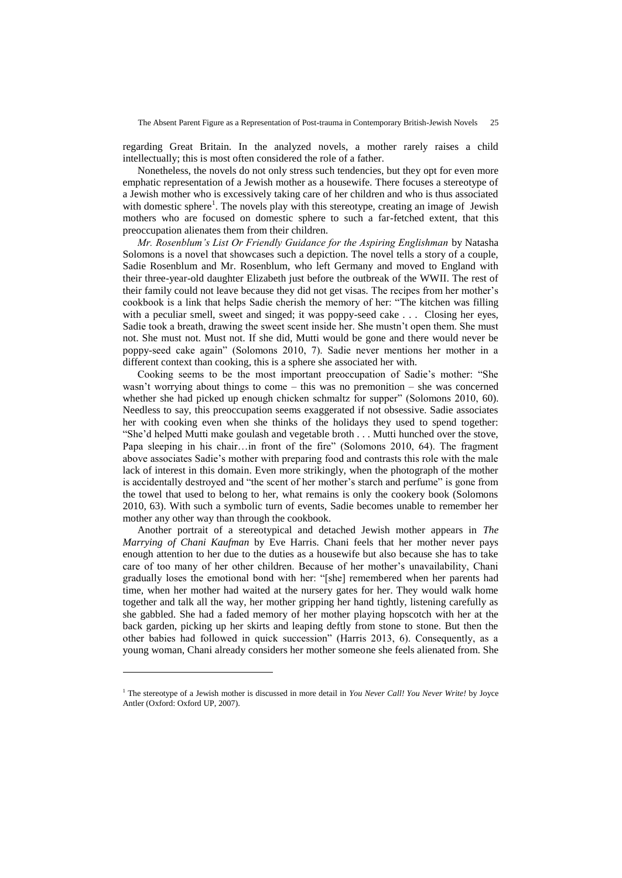regarding Great Britain. In the analyzed novels, a mother rarely raises a child intellectually; this is most often considered the role of a father.

Nonetheless, the novels do not only stress such tendencies, but they opt for even more emphatic representation of a Jewish mother as a housewife. There focuses a stereotype of a Jewish mother who is excessively taking care of her children and who is thus associated with domestic sphere<sup>1</sup>. The novels play with this stereotype, creating an image of Jewish mothers who are focused on domestic sphere to such a far-fetched extent, that this preoccupation alienates them from their children.

*Mr. Rosenblum's List Or Friendly Guidance for the Aspiring Englishman* by Natasha Solomons is a novel that showcases such a depiction. The novel tells a story of a couple, Sadie Rosenblum and Mr. Rosenblum, who left Germany and moved to England with their three-year-old daughter Elizabeth just before the outbreak of the WWII. The rest of their family could not leave because they did not get visas. The recipes from her mother's cookbook is a link that helps Sadie cherish the memory of her: "The kitchen was filling with a peculiar smell, sweet and singed; it was poppy-seed cake . . . Closing her eyes, Sadie took a breath, drawing the sweet scent inside her. She mustn't open them. She must not. She must not. Must not. If she did, Mutti would be gone and there would never be poppy-seed cake again" (Solomons 2010, 7). Sadie never mentions her mother in a different context than cooking, this is a sphere she associated her with.

Cooking seems to be the most important preoccupation of Sadie's mother: "She wasn't worrying about things to come – this was no premonition – she was concerned whether she had picked up enough chicken schmaltz for supper" (Solomons 2010, 60). Needless to say, this preoccupation seems exaggerated if not obsessive. Sadie associates her with cooking even when she thinks of the holidays they used to spend together: "She'd helped Mutti make goulash and vegetable broth . . . Mutti hunched over the stove, Papa sleeping in his chair…in front of the fire" (Solomons 2010, 64). The fragment above associates Sadie's mother with preparing food and contrasts this role with the male lack of interest in this domain. Even more strikingly, when the photograph of the mother is accidentally destroyed and "the scent of her mother's starch and perfume" is gone from the towel that used to belong to her, what remains is only the cookery book (Solomons 2010, 63). With such a symbolic turn of events, Sadie becomes unable to remember her mother any other way than through the cookbook.

Another portrait of a stereotypical and detached Jewish mother appears in *The Marrying of Chani Kaufman* by Eve Harris. Chani feels that her mother never pays enough attention to her due to the duties as a housewife but also because she has to take care of too many of her other children. Because of her mother's unavailability, Chani gradually loses the emotional bond with her: "[she] remembered when her parents had time, when her mother had waited at the nursery gates for her. They would walk home together and talk all the way, her mother gripping her hand tightly, listening carefully as she gabbled. She had a faded memory of her mother playing hopscotch with her at the back garden, picking up her skirts and leaping deftly from stone to stone. But then the other babies had followed in quick succession" (Harris 2013, 6). Consequently, as a young woman, Chani already considers her mother someone she feels alienated from. She

l

<sup>1</sup> The stereotype of a Jewish mother is discussed in more detail in *You Never Call! You Never Write!* by Joyce Antler (Oxford: Oxford UP, 2007).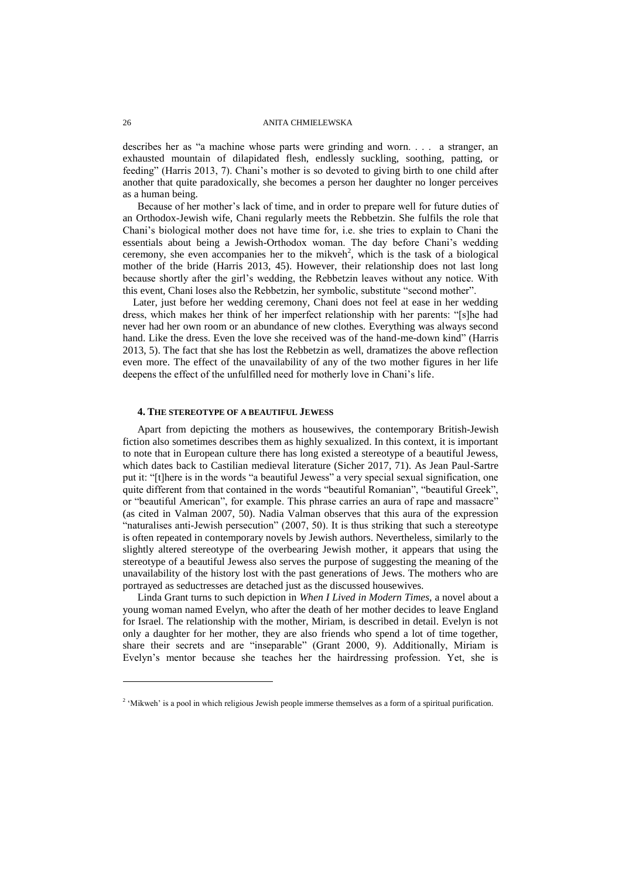describes her as "a machine whose parts were grinding and worn. . . . a stranger, an exhausted mountain of dilapidated flesh, endlessly suckling, soothing, patting, or feeding" (Harris 2013, 7). Chani's mother is so devoted to giving birth to one child after another that quite paradoxically, she becomes a person her daughter no longer perceives as a human being.

Because of her mother's lack of time, and in order to prepare well for future duties of an Orthodox-Jewish wife, Chani regularly meets the Rebbetzin. She fulfils the role that Chani's biological mother does not have time for, i.e. she tries to explain to Chani the essentials about being a Jewish-Orthodox woman. The day before Chani's wedding ceremony, she even accompanies her to the mikveh<sup>2</sup>, which is the task of a biological mother of the bride (Harris 2013, 45). However, their relationship does not last long because shortly after the girl's wedding, the Rebbetzin leaves without any notice. With this event, Chani loses also the Rebbetzin, her symbolic, substitute "second mother".

Later, just before her wedding ceremony, Chani does not feel at ease in her wedding dress, which makes her think of her imperfect relationship with her parents: "[s]he had never had her own room or an abundance of new clothes. Everything was always second hand. Like the dress. Even the love she received was of the hand-me-down kind" (Harris 2013, 5). The fact that she has lost the Rebbetzin as well, dramatizes the above reflection even more. The effect of the unavailability of any of the two mother figures in her life deepens the effect of the unfulfilled need for motherly love in Chani's life.

#### **4. THE STEREOTYPE OF A BEAUTIFUL JEWESS**

Apart from depicting the mothers as housewives, the contemporary British-Jewish fiction also sometimes describes them as highly sexualized. In this context, it is important to note that in European culture there has long existed a stereotype of a beautiful Jewess, which dates back to Castilian medieval literature (Sicher 2017, 71). As Jean Paul-Sartre put it: "[t]here is in the words "a beautiful Jewess" a very special sexual signification, one quite different from that contained in the words "beautiful Romanian", "beautiful Greek", or "beautiful American", for example. This phrase carries an aura of rape and massacre" (as cited in Valman 2007, 50). Nadia Valman observes that this aura of the expression "naturalises anti-Jewish persecution" (2007, 50). It is thus striking that such a stereotype is often repeated in contemporary novels by Jewish authors. Nevertheless, similarly to the slightly altered stereotype of the overbearing Jewish mother, it appears that using the stereotype of a beautiful Jewess also serves the purpose of suggesting the meaning of the unavailability of the history lost with the past generations of Jews. The mothers who are portrayed as seductresses are detached just as the discussed housewives.

Linda Grant turns to such depiction in *When I Lived in Modern Times,* a novel about a young woman named Evelyn, who after the death of her mother decides to leave England for Israel. The relationship with the mother, Miriam, is described in detail. Evelyn is not only a daughter for her mother, they are also friends who spend a lot of time together, share their secrets and are "inseparable" (Grant 2000, 9). Additionally, Miriam is Evelyn's mentor because she teaches her the hairdressing profession. Yet, she is

l

<sup>&</sup>lt;sup>2</sup> 'Mikweh' is a pool in which religious Jewish people immerse themselves as a form of a spiritual purification.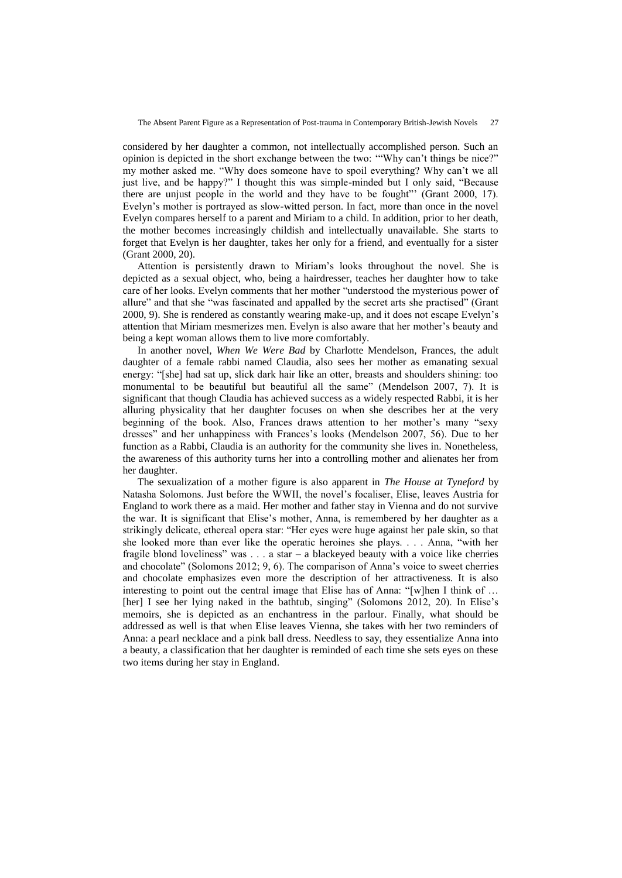considered by her daughter a common, not intellectually accomplished person. Such an opinion is depicted in the short exchange between the two: '"Why can't things be nice?" my mother asked me. "Why does someone have to spoil everything? Why can't we all just live, and be happy?" I thought this was simple-minded but I only said, "Because there are unjust people in the world and they have to be fought"' (Grant 2000, 17). Evelyn's mother is portrayed as slow-witted person. In fact, more than once in the novel Evelyn compares herself to a parent and Miriam to a child. In addition, prior to her death, the mother becomes increasingly childish and intellectually unavailable. She starts to forget that Evelyn is her daughter, takes her only for a friend, and eventually for a sister (Grant 2000, 20).

Attention is persistently drawn to Miriam's looks throughout the novel. She is depicted as a sexual object, who, being a hairdresser, teaches her daughter how to take care of her looks. Evelyn comments that her mother "understood the mysterious power of allure" and that she "was fascinated and appalled by the secret arts she practised" (Grant 2000, 9). She is rendered as constantly wearing make-up, and it does not escape Evelyn's attention that Miriam mesmerizes men. Evelyn is also aware that her mother's beauty and being a kept woman allows them to live more comfortably.

In another novel, *When We Were Bad* by Charlotte Mendelson*,* Frances, the adult daughter of a female rabbi named Claudia, also sees her mother as emanating sexual energy: "[she] had sat up, slick dark hair like an otter, breasts and shoulders shining: too monumental to be beautiful but beautiful all the same" (Mendelson 2007, 7). It is significant that though Claudia has achieved success as a widely respected Rabbi, it is her alluring physicality that her daughter focuses on when she describes her at the very beginning of the book. Also, Frances draws attention to her mother's many "sexy dresses" and her unhappiness with Frances's looks (Mendelson 2007, 56). Due to her function as a Rabbi, Claudia is an authority for the community she lives in. Nonetheless, the awareness of this authority turns her into a controlling mother and alienates her from her daughter.

The sexualization of a mother figure is also apparent in *The House at Tyneford* by Natasha Solomons. Just before the WWII, the novel's focaliser, Elise, leaves Austria for England to work there as a maid. Her mother and father stay in Vienna and do not survive the war. It is significant that Elise's mother, Anna, is remembered by her daughter as a strikingly delicate, ethereal opera star: "Her eyes were huge against her pale skin, so that she looked more than ever like the operatic heroines she plays. . . . Anna, "with her fragile blond loveliness" was . . . a star – a blackeyed beauty with a voice like cherries and chocolate" (Solomons 2012; 9, 6). The comparison of Anna's voice to sweet cherries and chocolate emphasizes even more the description of her attractiveness. It is also interesting to point out the central image that Elise has of Anna: "[w]hen I think of … [her] I see her lying naked in the bathtub, singing" (Solomons 2012, 20). In Elise's memoirs, she is depicted as an enchantress in the parlour. Finally, what should be addressed as well is that when Elise leaves Vienna, she takes with her two reminders of Anna: a pearl necklace and a pink ball dress. Needless to say, they essentialize Anna into a beauty, a classification that her daughter is reminded of each time she sets eyes on these two items during her stay in England.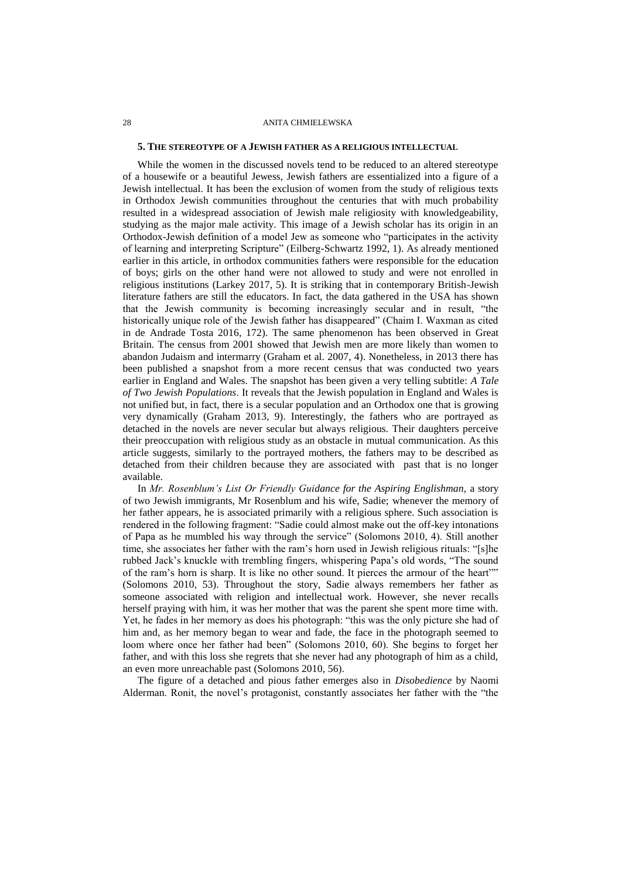#### **5. THE STEREOTYPE OF A JEWISH FATHER AS A RELIGIOUS INTELLECTUAL**

While the women in the discussed novels tend to be reduced to an altered stereotype of a housewife or a beautiful Jewess, Jewish fathers are essentialized into a figure of a Jewish intellectual. It has been the exclusion of women from the study of religious texts in Orthodox Jewish communities throughout the centuries that with much probability resulted in a widespread association of Jewish male religiosity with knowledgeability, studying as the major male activity. This image of a Jewish scholar has its origin in an Orthodox-Jewish definition of a model Jew as someone who "participates in the activity of learning and interpreting Scripture" (Eilberg-Schwartz 1992, 1). As already mentioned earlier in this article, in orthodox communities fathers were responsible for the education of boys; girls on the other hand were not allowed to study and were not enrolled in religious institutions (Larkey 2017, 5). It is striking that in contemporary British-Jewish literature fathers are still the educators. In fact, the data gathered in the USA has shown that the Jewish community is becoming increasingly secular and in result, "the historically unique role of the Jewish father has disappeared" (Chaim I. Waxman as cited in de Andrade Tosta 2016, 172). The same phenomenon has been observed in Great Britain. The census from 2001 showed that Jewish men are more likely than women to abandon Judaism and intermarry (Graham et al. 2007, 4). Nonetheless, in 2013 there has been published a snapshot from a more recent census that was conducted two years earlier in England and Wales. The snapshot has been given a very telling subtitle: *A Tale of Two Jewish Populations*. It reveals that the Jewish population in England and Wales is not unified but, in fact, there is a secular population and an Orthodox one that is growing very dynamically (Graham 2013, 9). Interestingly, the fathers who are portrayed as detached in the novels are never secular but always religious. Their daughters perceive their preoccupation with religious study as an obstacle in mutual communication. As this article suggests, similarly to the portrayed mothers, the fathers may to be described as detached from their children because they are associated with past that is no longer available.

In *Mr. Rosenblum's List Or Friendly Guidance for the Aspiring Englishman,* a story of two Jewish immigrants, Mr Rosenblum and his wife, Sadie; whenever the memory of her father appears, he is associated primarily with a religious sphere. Such association is rendered in the following fragment: "Sadie could almost make out the off-key intonations of Papa as he mumbled his way through the service" (Solomons 2010, 4). Still another time, she associates her father with the ram's horn used in Jewish religious rituals: "[s]he rubbed Jack's knuckle with trembling fingers, whispering Papa's old words, "The sound of the ram's horn is sharp. It is like no other sound. It pierces the armour of the heart"" (Solomons 2010, 53). Throughout the story, Sadie always remembers her father as someone associated with religion and intellectual work. However, she never recalls herself praying with him, it was her mother that was the parent she spent more time with. Yet, he fades in her memory as does his photograph: "this was the only picture she had of him and, as her memory began to wear and fade, the face in the photograph seemed to loom where once her father had been" (Solomons 2010, 60). She begins to forget her father, and with this loss she regrets that she never had any photograph of him as a child, an even more unreachable past (Solomons 2010, 56).

The figure of a detached and pious father emerges also in *Disobedience* by Naomi Alderman. Ronit, the novel's protagonist, constantly associates her father with the "the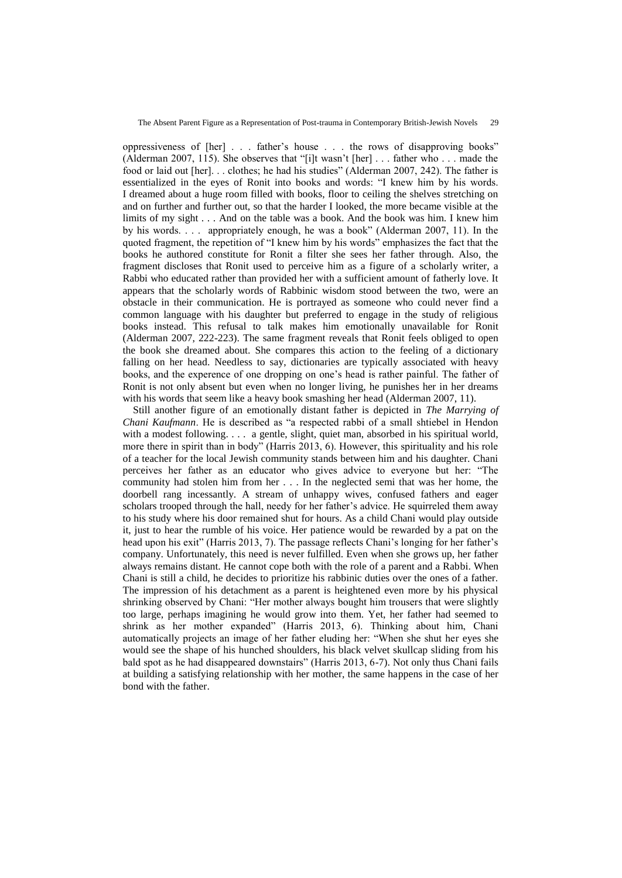oppressiveness of [her] . . . father's house . . . the rows of disapproving books" (Alderman 2007, 115). She observes that "[i]t wasn't [her] . . . father who . . . made the food or laid out [her]. . . clothes; he had his studies" (Alderman 2007, 242). The father is essentialized in the eyes of Ronit into books and words: "I knew him by his words. I dreamed about a huge room filled with books, floor to ceiling the shelves stretching on and on further and further out, so that the harder I looked, the more became visible at the limits of my sight . . . And on the table was a book. And the book was him. I knew him by his words. . . . appropriately enough, he was a book" (Alderman 2007, 11). In the quoted fragment, the repetition of "I knew him by his words" emphasizes the fact that the books he authored constitute for Ronit a filter she sees her father through. Also, the fragment discloses that Ronit used to perceive him as a figure of a scholarly writer, a Rabbi who educated rather than provided her with a sufficient amount of fatherly love. It appears that the scholarly words of Rabbinic wisdom stood between the two, were an obstacle in their communication. He is portrayed as someone who could never find a common language with his daughter but preferred to engage in the study of religious books instead. This refusal to talk makes him emotionally unavailable for Ronit (Alderman 2007, 222-223). The same fragment reveals that Ronit feels obliged to open the book she dreamed about. She compares this action to the feeling of a dictionary falling on her head. Needless to say, dictionaries are typically associated with heavy books, and the experence of one dropping on one's head is rather painful. The father of Ronit is not only absent but even when no longer living, he punishes her in her dreams with his words that seem like a heavy book smashing her head (Alderman 2007, 11).

Still another figure of an emotionally distant father is depicted in *The Marrying of Chani Kaufmann*. He is described as "a respected rabbi of a small shtiebel in Hendon with a modest following. . . . a gentle, slight, quiet man, absorbed in his spiritual world, more there in spirit than in body" (Harris 2013, 6). However, this spirituality and his role of a teacher for the local Jewish community stands between him and his daughter. Chani perceives her father as an educator who gives advice to everyone but her: "The community had stolen him from her . . . In the neglected semi that was her home, the doorbell rang incessantly. A stream of unhappy wives, confused fathers and eager scholars trooped through the hall, needy for her father's advice. He squirreled them away to his study where his door remained shut for hours. As a child Chani would play outside it, just to hear the rumble of his voice. Her patience would be rewarded by a pat on the head upon his exit" (Harris 2013, 7). The passage reflects Chani's longing for her father's company. Unfortunately, this need is never fulfilled. Even when she grows up, her father always remains distant. He cannot cope both with the role of a parent and a Rabbi. When Chani is still a child, he decides to prioritize his rabbinic duties over the ones of a father. The impression of his detachment as a parent is heightened even more by his physical shrinking observed by Chani: "Her mother always bought him trousers that were slightly too large, perhaps imagining he would grow into them. Yet, her father had seemed to shrink as her mother expanded" (Harris 2013, 6). Thinking about him, Chani automatically projects an image of her father eluding her: "When she shut her eyes she would see the shape of his hunched shoulders, his black velvet skullcap sliding from his bald spot as he had disappeared downstairs" (Harris 2013, 6-7). Not only thus Chani fails at building a satisfying relationship with her mother, the same happens in the case of her bond with the father.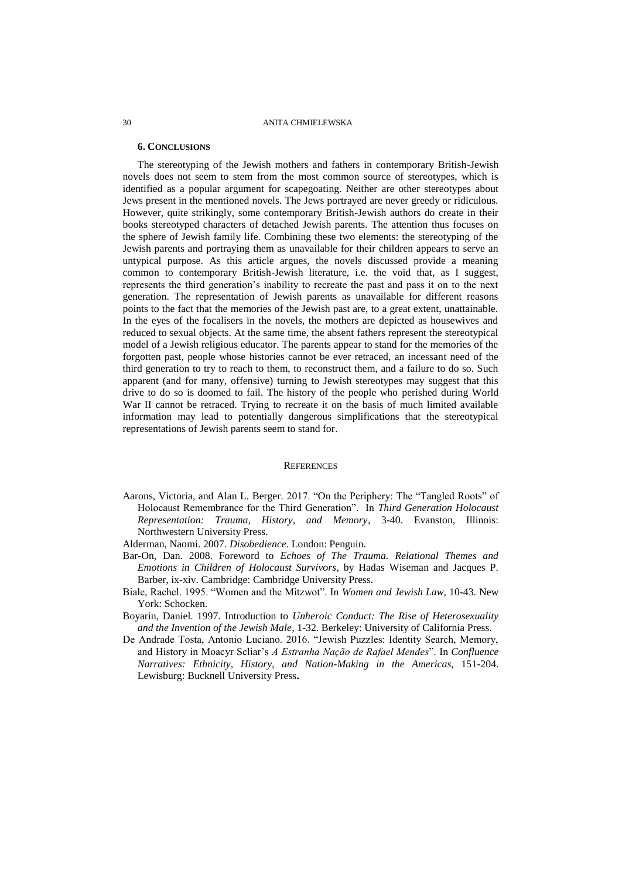## **6. CONCLUSIONS**

The stereotyping of the Jewish mothers and fathers in contemporary British-Jewish novels does not seem to stem from the most common source of stereotypes, which is identified as a popular argument for scapegoating. Neither are other stereotypes about Jews present in the mentioned novels. The Jews portrayed are never greedy or ridiculous. However, quite strikingly, some contemporary British-Jewish authors do create in their books stereotyped characters of detached Jewish parents. The attention thus focuses on the sphere of Jewish family life. Combining these two elements: the stereotyping of the Jewish parents and portraying them as unavailable for their children appears to serve an untypical purpose. As this article argues, the novels discussed provide a meaning common to contemporary British-Jewish literature, i.e. the void that, as I suggest, represents the third generation's inability to recreate the past and pass it on to the next generation. The representation of Jewish parents as unavailable for different reasons points to the fact that the memories of the Jewish past are, to a great extent, unattainable. In the eyes of the focalisers in the novels, the mothers are depicted as housewives and reduced to sexual objects. At the same time, the absent fathers represent the stereotypical model of a Jewish religious educator. The parents appear to stand for the memories of the forgotten past, people whose histories cannot be ever retraced, an incessant need of the third generation to try to reach to them, to reconstruct them, and a failure to do so. Such apparent (and for many, offensive) turning to Jewish stereotypes may suggest that this drive to do so is doomed to fail. The history of the people who perished during World War II cannot be retraced. Trying to recreate it on the basis of much limited available information may lead to potentially dangerous simplifications that the stereotypical representations of Jewish parents seem to stand for.

#### **REFERENCES**

- Aarons, Victoria, and Alan L. Berger*.* 2017. "On the Periphery: The "Tangled Roots" of Holocaust Remembrance for the Third Generation". In *Third Generation Holocaust Representation: Trauma, History, and Memory*, 3-40. Evanston, Illinois: Northwestern University Press.
- Alderman, Naomi. 2007. *Disobedience*. London: Penguin.
- Bar-On, Dan. 2008. Foreword to *Echoes of The Trauma. Relational Themes and Emotions in Children of Holocaust Survivors*, by Hadas Wiseman and Jacques P. Barber, ix-xiv. Cambridge: Cambridge University Press.
- Biale, Rachel. 1995. "Women and the Mitzwot". In *Women and Jewish Law,* 10-43. New York: Schocken.
- Boyarin, Daniel. 1997. Introduction to *Unheroic Conduct: The Rise of Heterosexuality and the Invention of the Jewish Male*, 1-32*.* Berkeley: University of California Press.
- De Andrade Tosta, Antonio Luciano. 2016. "Jewish Puzzles: Identity Search, Memory, and History in Moacyr Scliar's *A Estranha Nação de Rafael Mendes*". In *Confluence Narratives: Ethnicity, History, and Nation-Making in the Americas*, 151-204. Lewisburg: Bucknell University Press**.**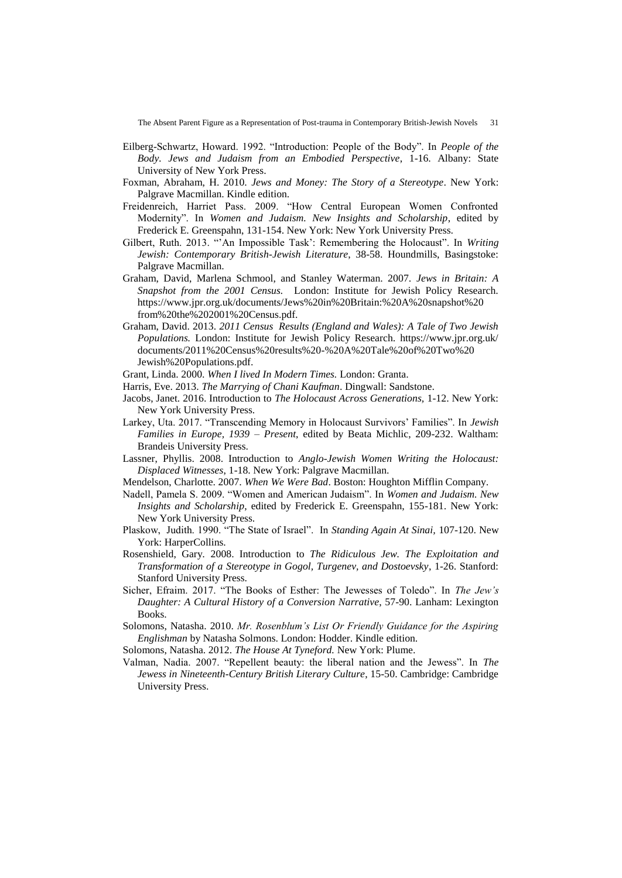The Absent Parent Figure as a Representation of Post-trauma in Contemporary British-Jewish Novels 31

- Eilberg-Schwartz, Howard. 1992. "Introduction: People of the Body". In *People of the Body. Jews and Judaism from an Embodied Perspective*, 1-16. Albany: State University of New York Press.
- Foxman, Abraham, H. 2010. *Jews and Money: The Story of a Stereotype*. New York: Palgrave Macmillan. Kindle edition.
- Freidenreich, Harriet Pass. 2009. "How Central European Women Confronted Modernity". In *Women and Judaism. New Insights and Scholarship*, edited by Frederick E. Greenspahn, 131-154. New York: New York University Press.
- Gilbert, Ruth. 2013. "'An Impossible Task': Remembering the Holocaust". In *Writing Jewish: Contemporary British-Jewish Literature*, 38-58. Houndmills, Basingstoke: Palgrave Macmillan.
- Graham, David, Marlena Schmool, and Stanley Waterman. 2007. *Jews in Britain: A Snapshot from the 2001 Census.* London: Institute for Jewish Policy Research. https://www.jpr.org.uk/documents/Jews%20in%20Britain:%20A%20snapshot%20 from%20the%202001%20Census.pdf.
- Graham, David. 2013. *2011 Census Results (England and Wales): A Tale of Two Jewish Populations.* London: Institute for Jewish Policy Research. https://www.jpr.org.uk/ documents/2011%20Census%20results%20-%20A%20Tale%20of%20Two%20 Jewish%20Populations.pdf.
- Grant, Linda. 2000. *When I lived In Modern Times.* London: Granta.
- Harris, Eve. 2013. *The Marrying of Chani Kaufman*. Dingwall: Sandstone.
- Jacobs, Janet. 2016. Introduction to *The Holocaust Across Generations,* 1-12. New York: New York University Press.
- Larkey, Uta. 2017. "Transcending Memory in Holocaust Survivors' Families". In *Jewish Families in Europe, 1939 – Present*, edited by Beata Michlic, 209-232. Waltham: Brandeis University Press.
- Lassner, Phyllis. 2008. Introduction to *Anglo-Jewish Women Writing the Holocaust: Displaced Witnesses*, 1-18. New York: Palgrave Macmillan.
- Mendelson, Charlotte. 2007. *When We Were Bad*. Boston: Houghton Mifflin Company.
- Nadell, Pamela S. 2009. "Women and American Judaism". In *Women and Judaism. New Insights and Scholarship*, edited by Frederick E. Greenspahn, 155-181. New York: New York University Press.
- Plaskow, Judith. 1990. "The State of Israel". In *Standing Again At Sinai,* 107-120. New York: HarperCollins.
- Rosenshield, Gary*.* 2008. Introduction to *The Ridiculous Jew. The Exploitation and Transformation of a Stereotype in Gogol, Turgenev, and Dostoevsky*, 1-26. Stanford: Stanford University Press.
- Sicher, Efraim. 2017. "The Books of Esther: The Jewesses of Toledo". In *The Jew's Daughter: A Cultural History of a Conversion Narrative*, 57-90. Lanham: Lexington Books.
- Solomons, Natasha. 2010. *Mr. Rosenblum's List Or Friendly Guidance for the Aspiring Englishman* by Natasha Solmons. London: Hodder. Kindle edition.
- Solomons, Natasha. 2012. *The House At Tyneford.* New York: Plume.
- Valman, Nadia. 2007. "Repellent beauty: the liberal nation and the Jewess". In *The Jewess in Nineteenth-Century British Literary Culture*, 15-50. Cambridge: Cambridge University Press.